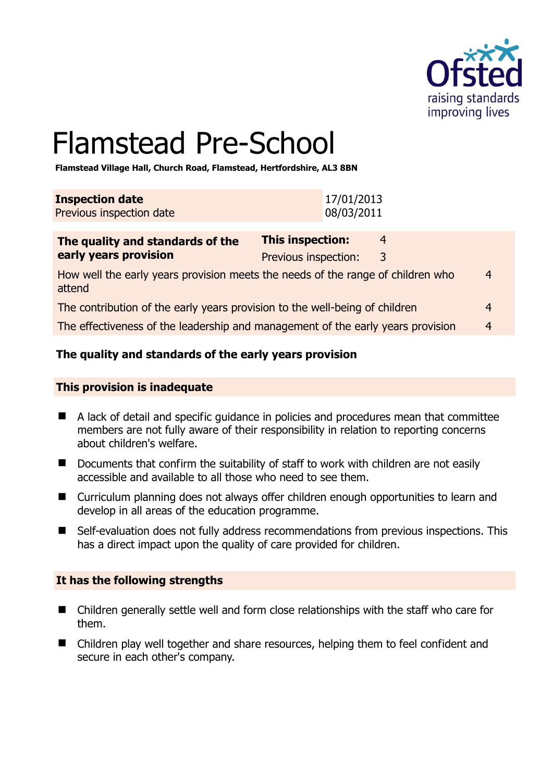

# Flamstead Pre-School

**Flamstead Village Hall, Church Road, Flamstead, Hertfordshire, AL3 8BN** 

| <b>Inspection date</b>          | 17/01/2013 |
|---------------------------------|------------|
| <b>Previous inspection date</b> | 08/03/2011 |

| The quality and standards of the                                                          | <b>This inspection:</b> | 4 |                |
|-------------------------------------------------------------------------------------------|-------------------------|---|----------------|
| early years provision                                                                     | Previous inspection:    | 3 |                |
| How well the early years provision meets the needs of the range of children who<br>attend |                         |   | $\overline{4}$ |
| The contribution of the early years provision to the well-being of children               |                         |   | 4              |
| The effectiveness of the leadership and management of the early years provision           |                         |   | 4              |

## **The quality and standards of the early years provision**

#### **This provision is inadequate**

- A lack of detail and specific guidance in policies and procedures mean that committee members are not fully aware of their responsibility in relation to reporting concerns about children's welfare.
- Documents that confirm the suitability of staff to work with children are not easily accessible and available to all those who need to see them.
- Curriculum planning does not always offer children enough opportunities to learn and develop in all areas of the education programme.
- Self-evaluation does not fully address recommendations from previous inspections. This has a direct impact upon the quality of care provided for children.

#### **It has the following strengths**

- Children generally settle well and form close relationships with the staff who care for them.
- Children play well together and share resources, helping them to feel confident and secure in each other's company.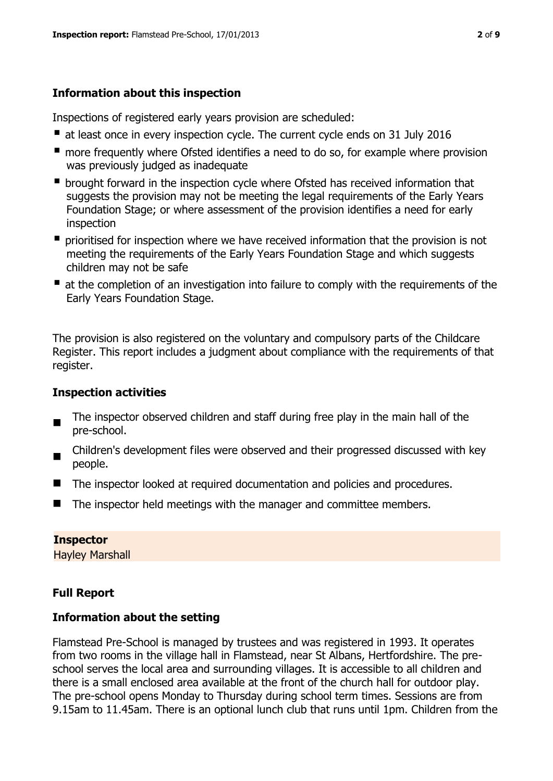# **Information about this inspection**

Inspections of registered early years provision are scheduled:

- at least once in every inspection cycle. The current cycle ends on 31 July 2016
- **n** more frequently where Ofsted identifies a need to do so, for example where provision was previously judged as inadequate
- **•** brought forward in the inspection cycle where Ofsted has received information that suggests the provision may not be meeting the legal requirements of the Early Years Foundation Stage; or where assessment of the provision identifies a need for early inspection
- **P** prioritised for inspection where we have received information that the provision is not meeting the requirements of the Early Years Foundation Stage and which suggests children may not be safe
- at the completion of an investigation into failure to comply with the requirements of the Early Years Foundation Stage.

The provision is also registered on the voluntary and compulsory parts of the Childcare Register. This report includes a judgment about compliance with the requirements of that register.

# **Inspection activities**

- $\blacksquare$ The inspector observed children and staff during free play in the main hall of the pre-school.
- $\blacksquare$ Children's development files were observed and their progressed discussed with key people.
- The inspector looked at required documentation and policies and procedures.
- $\blacksquare$  The inspector held meetings with the manager and committee members.

## **Inspector**

Hayley Marshall

# **Full Report**

## **Information about the setting**

Flamstead Pre-School is managed by trustees and was registered in 1993. It operates from two rooms in the village hall in Flamstead, near St Albans, Hertfordshire. The preschool serves the local area and surrounding villages. It is accessible to all children and there is a small enclosed area available at the front of the church hall for outdoor play. The pre-school opens Monday to Thursday during school term times. Sessions are from 9.15am to 11.45am. There is an optional lunch club that runs until 1pm. Children from the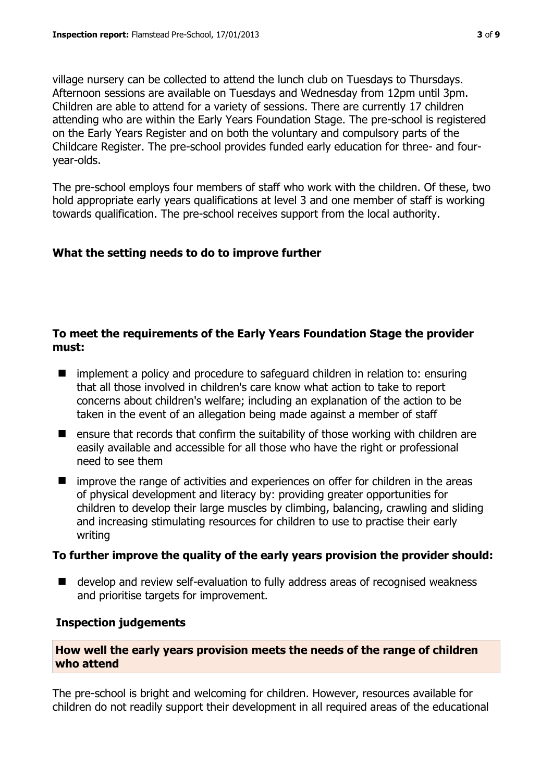village nursery can be collected to attend the lunch club on Tuesdays to Thursdays. Afternoon sessions are available on Tuesdays and Wednesday from 12pm until 3pm. Children are able to attend for a variety of sessions. There are currently 17 children attending who are within the Early Years Foundation Stage. The pre-school is registered on the Early Years Register and on both the voluntary and compulsory parts of the Childcare Register. The pre-school provides funded early education for three- and fouryear-olds.

The pre-school employs four members of staff who work with the children. Of these, two hold appropriate early years qualifications at level 3 and one member of staff is working towards qualification. The pre-school receives support from the local authority.

## **What the setting needs to do to improve further**

# **To meet the requirements of the Early Years Foundation Stage the provider must:**

- implement a policy and procedure to safeguard children in relation to: ensuring that all those involved in children's care know what action to take to report concerns about children's welfare; including an explanation of the action to be taken in the event of an allegation being made against a member of staff
- $\blacksquare$  ensure that records that confirm the suitability of those working with children are easily available and accessible for all those who have the right or professional need to see them
- improve the range of activities and experiences on offer for children in the areas of physical development and literacy by: providing greater opportunities for children to develop their large muscles by climbing, balancing, crawling and sliding and increasing stimulating resources for children to use to practise their early writing

## **To further improve the quality of the early years provision the provider should:**

■ develop and review self-evaluation to fully address areas of recognised weakness and prioritise targets for improvement.

#### **Inspection judgements**

#### **How well the early years provision meets the needs of the range of children who attend**

The pre-school is bright and welcoming for children. However, resources available for children do not readily support their development in all required areas of the educational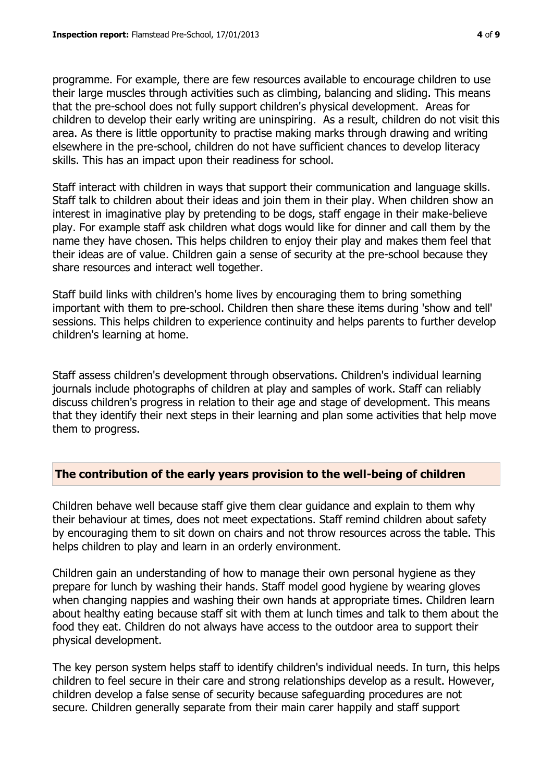programme. For example, there are few resources available to encourage children to use their large muscles through activities such as climbing, balancing and sliding. This means that the pre-school does not fully support children's physical development. Areas for children to develop their early writing are uninspiring. As a result, children do not visit this area. As there is little opportunity to practise making marks through drawing and writing elsewhere in the pre-school, children do not have sufficient chances to develop literacy skills. This has an impact upon their readiness for school.

Staff interact with children in ways that support their communication and language skills. Staff talk to children about their ideas and join them in their play. When children show an interest in imaginative play by pretending to be dogs, staff engage in their make-believe play. For example staff ask children what dogs would like for dinner and call them by the name they have chosen. This helps children to enjoy their play and makes them feel that their ideas are of value. Children gain a sense of security at the pre-school because they share resources and interact well together.

Staff build links with children's home lives by encouraging them to bring something important with them to pre-school. Children then share these items during 'show and tell' sessions. This helps children to experience continuity and helps parents to further develop children's learning at home.

Staff assess children's development through observations. Children's individual learning journals include photographs of children at play and samples of work. Staff can reliably discuss children's progress in relation to their age and stage of development. This means that they identify their next steps in their learning and plan some activities that help move them to progress.

## **The contribution of the early years provision to the well-being of children**

Children behave well because staff give them clear guidance and explain to them why their behaviour at times, does not meet expectations. Staff remind children about safety by encouraging them to sit down on chairs and not throw resources across the table. This helps children to play and learn in an orderly environment.

Children gain an understanding of how to manage their own personal hygiene as they prepare for lunch by washing their hands. Staff model good hygiene by wearing gloves when changing nappies and washing their own hands at appropriate times. Children learn about healthy eating because staff sit with them at lunch times and talk to them about the food they eat. Children do not always have access to the outdoor area to support their physical development.

The key person system helps staff to identify children's individual needs. In turn, this helps children to feel secure in their care and strong relationships develop as a result. However, children develop a false sense of security because safeguarding procedures are not secure. Children generally separate from their main carer happily and staff support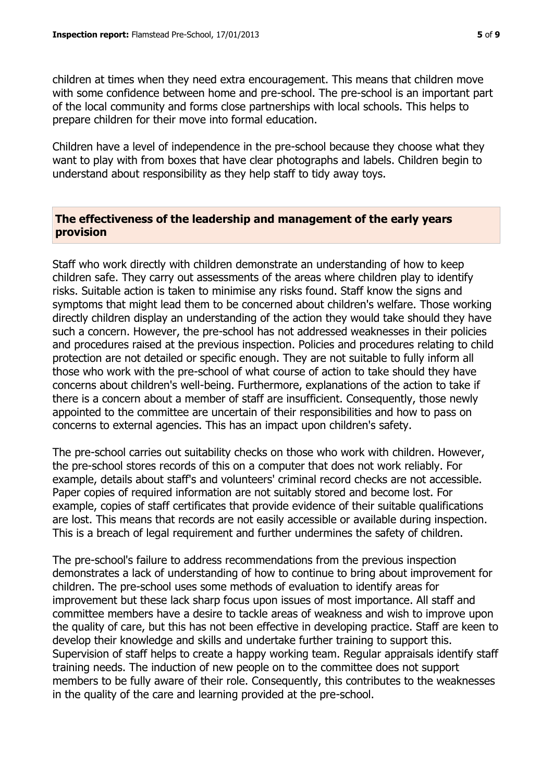children at times when they need extra encouragement. This means that children move with some confidence between home and pre-school. The pre-school is an important part of the local community and forms close partnerships with local schools. This helps to prepare children for their move into formal education.

Children have a level of independence in the pre-school because they choose what they want to play with from boxes that have clear photographs and labels. Children begin to understand about responsibility as they help staff to tidy away toys.

## **The effectiveness of the leadership and management of the early years provision**

Staff who work directly with children demonstrate an understanding of how to keep children safe. They carry out assessments of the areas where children play to identify risks. Suitable action is taken to minimise any risks found. Staff know the signs and symptoms that might lead them to be concerned about children's welfare. Those working directly children display an understanding of the action they would take should they have such a concern. However, the pre-school has not addressed weaknesses in their policies and procedures raised at the previous inspection. Policies and procedures relating to child protection are not detailed or specific enough. They are not suitable to fully inform all those who work with the pre-school of what course of action to take should they have concerns about children's well-being. Furthermore, explanations of the action to take if there is a concern about a member of staff are insufficient. Consequently, those newly appointed to the committee are uncertain of their responsibilities and how to pass on concerns to external agencies. This has an impact upon children's safety.

The pre-school carries out suitability checks on those who work with children. However, the pre-school stores records of this on a computer that does not work reliably. For example, details about staff's and volunteers' criminal record checks are not accessible. Paper copies of required information are not suitably stored and become lost. For example, copies of staff certificates that provide evidence of their suitable qualifications are lost. This means that records are not easily accessible or available during inspection. This is a breach of legal requirement and further undermines the safety of children.

The pre-school's failure to address recommendations from the previous inspection demonstrates a lack of understanding of how to continue to bring about improvement for children. The pre-school uses some methods of evaluation to identify areas for improvement but these lack sharp focus upon issues of most importance. All staff and committee members have a desire to tackle areas of weakness and wish to improve upon the quality of care, but this has not been effective in developing practice. Staff are keen to develop their knowledge and skills and undertake further training to support this. Supervision of staff helps to create a happy working team. Regular appraisals identify staff training needs. The induction of new people on to the committee does not support members to be fully aware of their role. Consequently, this contributes to the weaknesses in the quality of the care and learning provided at the pre-school.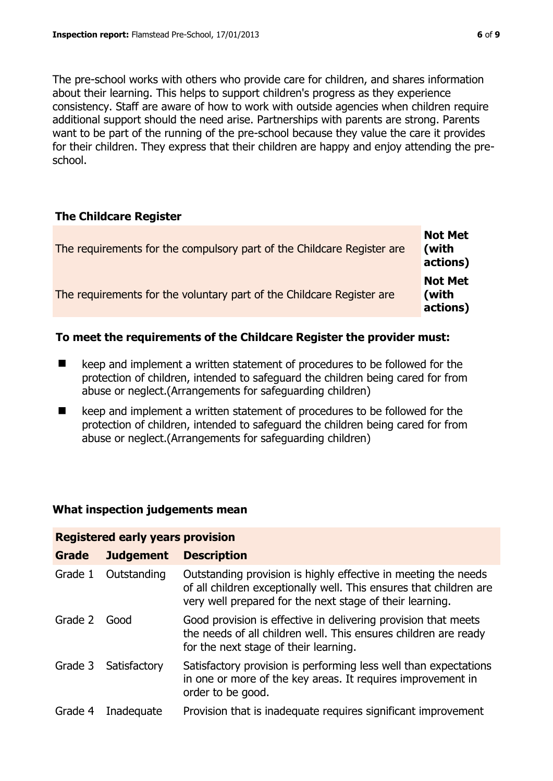The pre-school works with others who provide care for children, and shares information about their learning. This helps to support children's progress as they experience consistency. Staff are aware of how to work with outside agencies when children require additional support should the need arise. Partnerships with parents are strong. Parents want to be part of the running of the pre-school because they value the care it provides for their children. They express that their children are happy and enjoy attending the preschool.

## **The Childcare Register**

| The requirements for the compulsory part of the Childcare Register are | <b>Not Met</b><br>(with<br>actions) |
|------------------------------------------------------------------------|-------------------------------------|
| The requirements for the voluntary part of the Childcare Register are  | <b>Not Met</b><br>(with<br>actions) |

## **To meet the requirements of the Childcare Register the provider must:**

- keep and implement a written statement of procedures to be followed for the protection of children, intended to safeguard the children being cared for from abuse or neglect.(Arrangements for safeguarding children)
- keep and implement a written statement of procedures to be followed for the protection of children, intended to safeguard the children being cared for from abuse or neglect.(Arrangements for safeguarding children)

## **What inspection judgements mean**

**Registered early years provision**

| Registered early years provision |                      |                                                                                                                                                                                                  |  |  |
|----------------------------------|----------------------|--------------------------------------------------------------------------------------------------------------------------------------------------------------------------------------------------|--|--|
| <b>Grade</b>                     | <b>Judgement</b>     | <b>Description</b>                                                                                                                                                                               |  |  |
| Grade 1                          | Outstanding          | Outstanding provision is highly effective in meeting the needs<br>of all children exceptionally well. This ensures that children are<br>very well prepared for the next stage of their learning. |  |  |
| Grade 2                          | Good                 | Good provision is effective in delivering provision that meets<br>the needs of all children well. This ensures children are ready<br>for the next stage of their learning.                       |  |  |
|                                  | Grade 3 Satisfactory | Satisfactory provision is performing less well than expectations<br>in one or more of the key areas. It requires improvement in<br>order to be good.                                             |  |  |
| Grade 4                          | Inadequate           | Provision that is inadequate requires significant improvement                                                                                                                                    |  |  |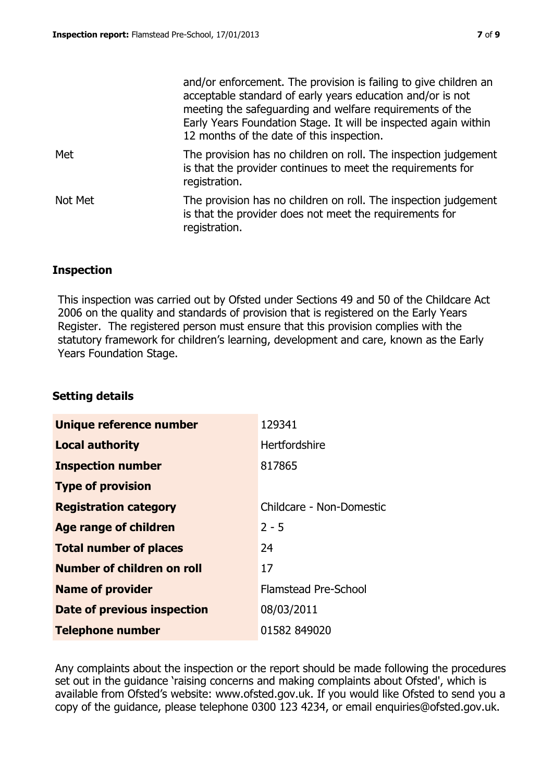|         | and/or enforcement. The provision is failing to give children an<br>acceptable standard of early years education and/or is not<br>meeting the safeguarding and welfare requirements of the<br>Early Years Foundation Stage. It will be inspected again within<br>12 months of the date of this inspection. |
|---------|------------------------------------------------------------------------------------------------------------------------------------------------------------------------------------------------------------------------------------------------------------------------------------------------------------|
| Met     | The provision has no children on roll. The inspection judgement<br>is that the provider continues to meet the requirements for<br>registration.                                                                                                                                                            |
| Not Met | The provision has no children on roll. The inspection judgement<br>is that the provider does not meet the requirements for<br>registration.                                                                                                                                                                |

## **Inspection**

This inspection was carried out by Ofsted under Sections 49 and 50 of the Childcare Act 2006 on the quality and standards of provision that is registered on the Early Years Register. The registered person must ensure that this provision complies with the statutory framework for children's learning, development and care, known as the Early Years Foundation Stage.

#### **Setting details**

| Unique reference number       | 129341                      |
|-------------------------------|-----------------------------|
| <b>Local authority</b>        | Hertfordshire               |
| <b>Inspection number</b>      | 817865                      |
| <b>Type of provision</b>      |                             |
| <b>Registration category</b>  | Childcare - Non-Domestic    |
| <b>Age range of children</b>  | $2 - 5$                     |
| <b>Total number of places</b> | 24                          |
| Number of children on roll    | 17                          |
| <b>Name of provider</b>       | <b>Flamstead Pre-School</b> |
| Date of previous inspection   | 08/03/2011                  |
| <b>Telephone number</b>       | 01582 849020                |

Any complaints about the inspection or the report should be made following the procedures set out in the guidance 'raising concerns and making complaints about Ofsted', which is available from Ofsted's website: www.ofsted.gov.uk. If you would like Ofsted to send you a copy of the guidance, please telephone 0300 123 4234, or email enquiries@ofsted.gov.uk.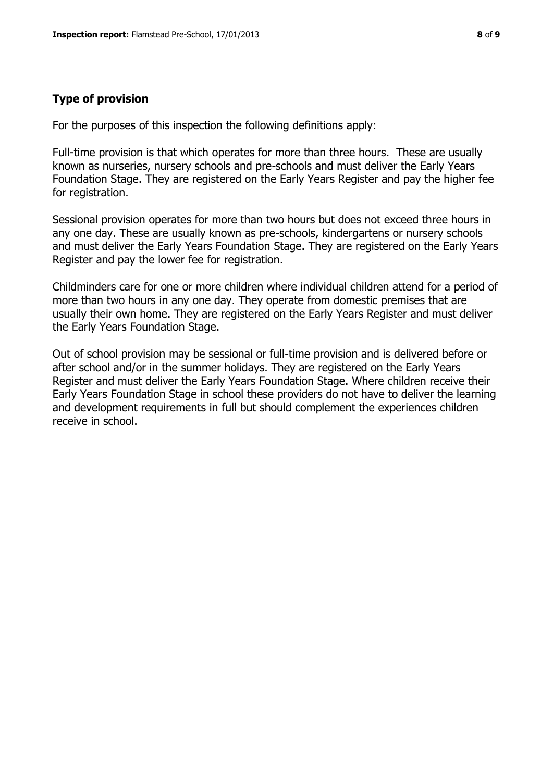## **Type of provision**

For the purposes of this inspection the following definitions apply:

Full-time provision is that which operates for more than three hours. These are usually known as nurseries, nursery schools and pre-schools and must deliver the Early Years Foundation Stage. They are registered on the Early Years Register and pay the higher fee for registration.

Sessional provision operates for more than two hours but does not exceed three hours in any one day. These are usually known as pre-schools, kindergartens or nursery schools and must deliver the Early Years Foundation Stage. They are registered on the Early Years Register and pay the lower fee for registration.

Childminders care for one or more children where individual children attend for a period of more than two hours in any one day. They operate from domestic premises that are usually their own home. They are registered on the Early Years Register and must deliver the Early Years Foundation Stage.

Out of school provision may be sessional or full-time provision and is delivered before or after school and/or in the summer holidays. They are registered on the Early Years Register and must deliver the Early Years Foundation Stage. Where children receive their Early Years Foundation Stage in school these providers do not have to deliver the learning and development requirements in full but should complement the experiences children receive in school.